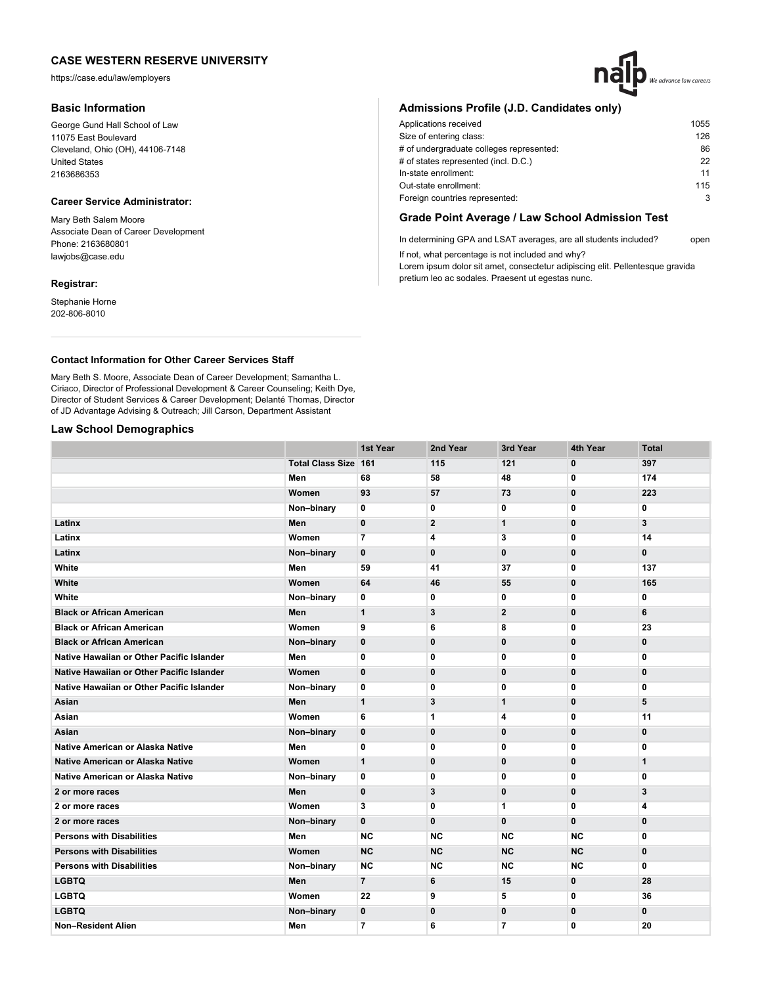https://case.edu/law/employers

## **Basic Information**

George Gund Hall School of Law 11075 East Boulevard Cleveland, Ohio (OH), 44106-7148 United States 2163686353

# **Career Service Administrator:**

Mary Beth Salem Moore Associate Dean of Career Development Phone: 2163680801 lawjobs@case.edu

## **Registrar:**

Stephanie Horne 202-806-8010

# **Admissions Profile (J.D. Candidates only)**

| Applications received                    | 1055 |
|------------------------------------------|------|
| Size of entering class:                  | 126  |
| # of undergraduate colleges represented: | 86   |
| # of states represented (incl. D.C.)     | 22   |
| In-state enrollment:                     | 11   |
| Out-state enrollment:                    | 115  |
| Foreign countries represented:           | 3    |
|                                          |      |

# **Grade Point Average / Law School Admission Test**

In determining GPA and LSAT averages, are all students included? open If not, what percentage is not included and why?

Lorem ipsum dolor sit amet, consectetur adipiscing elit. Pellentesque gravida pretium leo ac sodales. Praesent ut egestas nunc.

## **Contact Information for Other Career Services Staff**

Mary Beth S. Moore, Associate Dean of Career Development; Samantha L. Ciriaco, Director of Professional Development & Career Counseling; Keith Dye, Director of Student Services & Career Development; Delanté Thomas, Director of JD Advantage Advising & Outreach; Jill Carson, Department Assistant

## **Law School Demographics**

|                                           |                             | 1st Year       | 2nd Year       | 3rd Year       | 4th Year     | <b>Total</b> |
|-------------------------------------------|-----------------------------|----------------|----------------|----------------|--------------|--------------|
|                                           | <b>Total Class Size 161</b> |                | 115            | 121            | $\bf{0}$     | 397          |
|                                           | Men                         | 68             | 58             | 48             | 0            | 174          |
|                                           | Women                       | 93             | 57             | 73             | 0            | 223          |
|                                           | Non-binary                  | 0              | 0              | 0              | 0            | 0            |
| Latinx                                    | Men                         | $\mathbf 0$    | $\overline{2}$ | $\mathbf{1}$   | $\mathbf 0$  | 3            |
| Latinx                                    | Women                       | $\overline{7}$ | 4              | 3              | 0            | 14           |
| Latinx                                    | Non-binary                  | $\mathbf 0$    | $\mathbf{0}$   | $\mathbf 0$    | $\mathbf 0$  | $\mathbf 0$  |
| White                                     | Men                         | 59             | 41             | 37             | 0            | 137          |
| White                                     | Women                       | 64             | 46             | 55             | 0            | 165          |
| White                                     | Non-binary                  | 0              | 0              | 0              | 0            | $\mathbf 0$  |
| <b>Black or African American</b>          | Men                         | $\mathbf{1}$   | 3              | $\mathbf{2}$   | 0            | 6            |
| <b>Black or African American</b>          | Women                       | 9              | 6              | 8              | 0            | 23           |
| <b>Black or African American</b>          | Non-binary                  | $\mathbf 0$    | $\bf{0}$       | $\bf{0}$       | 0            | 0            |
| Native Hawaiian or Other Pacific Islander | Men                         | 0              | 0              | 0              | 0            | 0            |
| Native Hawaiian or Other Pacific Islander | Women                       | $\mathbf 0$    | $\bf{0}$       | $\bf{0}$       | 0            | $\bf{0}$     |
| Native Hawaiian or Other Pacific Islander | Non-binary                  | 0              | 0              | 0              | 0            | 0            |
| Asian                                     | Men                         | $\mathbf{1}$   | 3              | $\mathbf 1$    | 0            | 5            |
| Asian                                     | Women                       | 6              | 1              | 4              | 0            | 11           |
| Asian                                     | Non-binary                  | $\mathbf 0$    | $\bf{0}$       | $\mathbf{0}$   | $\mathbf 0$  | $\bf{0}$     |
| Native American or Alaska Native          | Men                         | 0              | 0              | 0              | 0            | 0            |
| Native American or Alaska Native          | Women                       | $\mathbf{1}$   | $\mathbf 0$    | $\bf{0}$       | 0            | $\mathbf{1}$ |
| Native American or Alaska Native          | Non-binary                  | 0              | 0              | 0              | 0            | 0            |
| 2 or more races                           | Men                         | $\mathbf 0$    | 3              | $\bf{0}$       | 0            | 3            |
| 2 or more races                           | Women                       | 3              | 0              | 1              | 0            | 4            |
| 2 or more races                           | Non-binary                  | $\mathbf{0}$   | $\mathbf 0$    | $\mathbf{0}$   | $\mathbf{0}$ | $\mathbf 0$  |
| <b>Persons with Disabilities</b>          | Men                         | <b>NC</b>      | <b>NC</b>      | <b>NC</b>      | <b>NC</b>    | 0            |
| <b>Persons with Disabilities</b>          | Women                       | <b>NC</b>      | <b>NC</b>      | <b>NC</b>      | <b>NC</b>    | $\mathbf 0$  |
| <b>Persons with Disabilities</b>          | Non-binary                  | <b>NC</b>      | <b>NC</b>      | <b>NC</b>      | <b>NC</b>    | 0            |
| <b>LGBTQ</b>                              | Men                         | $\overline{7}$ | 6              | 15             | 0            | 28           |
| <b>LGBTQ</b>                              | Women                       | 22             | 9              | 5              | 0            | 36           |
| <b>LGBTQ</b>                              | Non-binary                  | $\mathbf{0}$   | $\mathbf{0}$   | $\mathbf{0}$   | $\bf{0}$     | $\bf{0}$     |
| <b>Non-Resident Alien</b>                 | Men                         | $\overline{7}$ | 6              | $\overline{7}$ | 0            | 20           |

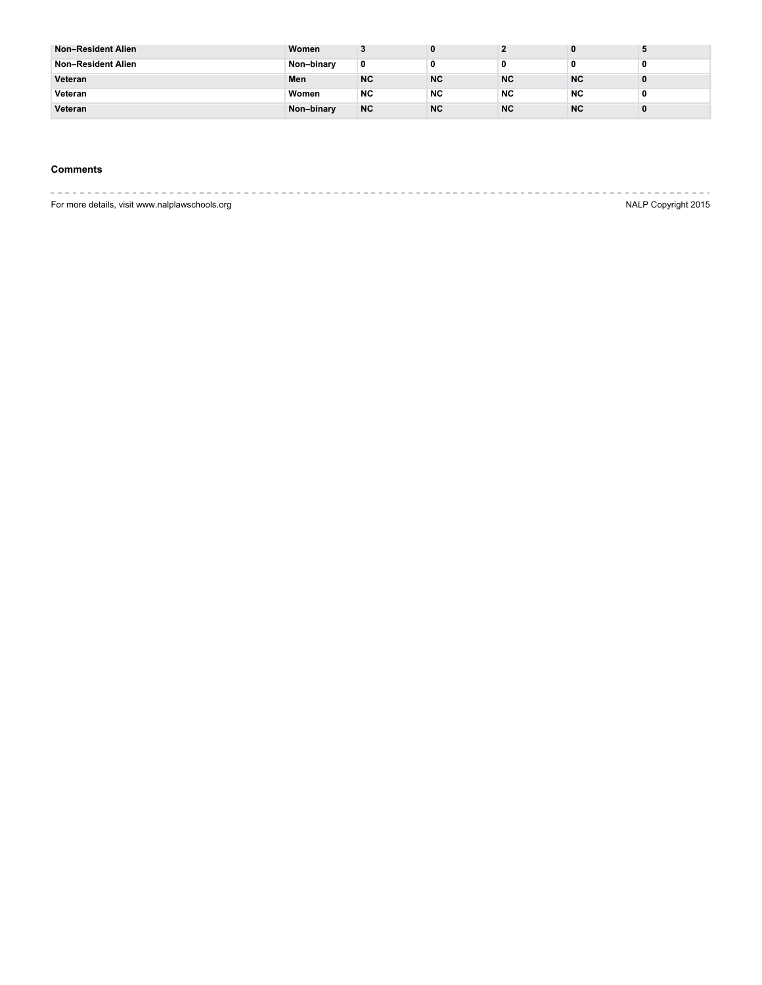| <b>Non-Resident Alien</b> | Women      |           |           |           |           |  |
|---------------------------|------------|-----------|-----------|-----------|-----------|--|
| Non-Resident Alien        | Non-binary | 0         |           |           |           |  |
| Veteran                   | Men        | <b>NC</b> | <b>NC</b> | <b>NC</b> | <b>NC</b> |  |
| Veteran                   | Women      | <b>NC</b> | <b>NC</b> | <b>NC</b> | <b>NC</b> |  |
| Veteran                   | Non-binary | <b>NC</b> | <b>NC</b> | <b>NC</b> | <b>NC</b> |  |

# **Comments**

|                                                | ______________      |
|------------------------------------------------|---------------------|
| For more details, visit www.nalplawschools.org | NALP Copyright 2015 |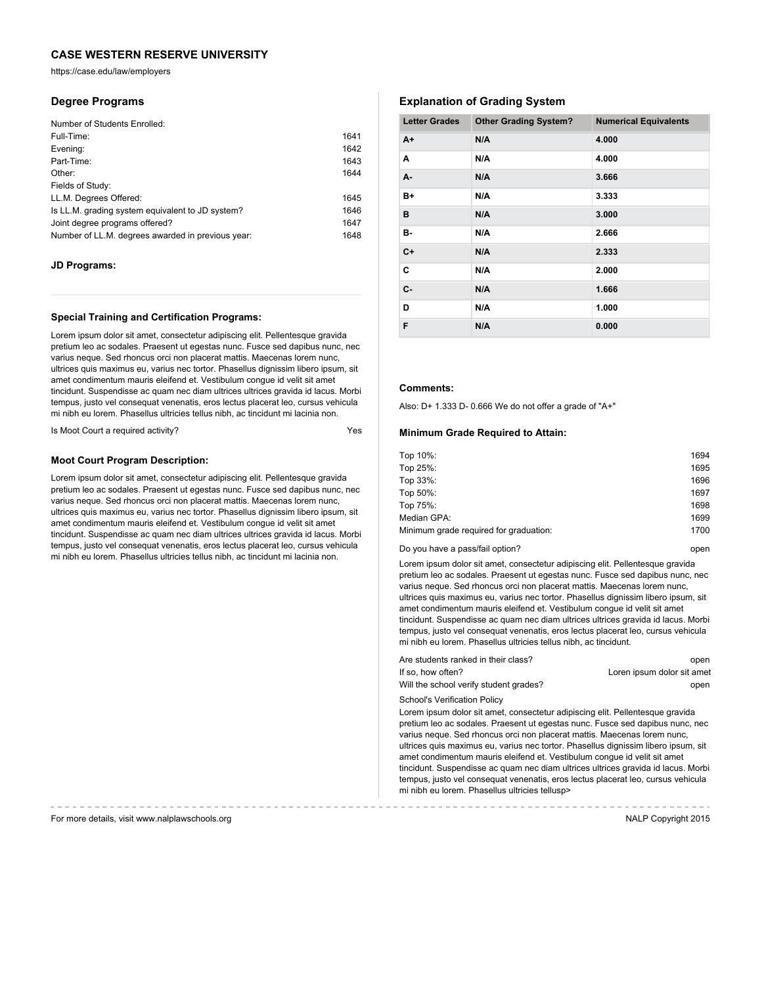https://case.edu/law/employers

## **Degree Programs**

| Number of Students Enrolled:                      |      |
|---------------------------------------------------|------|
| Full-Time:                                        | 1641 |
| Evening:                                          | 1642 |
| Part-Time:                                        | 1643 |
| Other:                                            | 1644 |
| Fields of Study:                                  |      |
| LL.M. Degrees Offered:                            | 1645 |
| Is LL.M. grading system equivalent to JD system?  | 1646 |
| Joint degree programs offered?                    | 1647 |
| Number of LL.M. degrees awarded in previous year: | 1648 |

## **JD Programs:**

## **Special Training and Certification Programs:**

Lorem ipsum dolor sit amet, consectetur adipiscing elit. Pellentesque gravida pretium leo ac sodales. Praesent ut egestas nunc. Fusce sed dapibus nunc, nec varius neque. Sed rhoncus orci non placerat mattis. Maecenas lorem nunc, ultrices quis maximus eu, varius nec tortor. Phasellus dignissim libero ipsum, sit amet condimentum mauris eleifend et. Vestibulum congue id velit sit amet tincidunt. Suspendisse ac quam nec diam ultrices ultrices gravida id lacus. Morbi tempus, justo vel consequat venenatis, eros lectus placerat leo, cursus vehicula mi nibh eu lorem. Phasellus ultricies tellus nibh, ac tincidunt mi lacinia non.

Is Moot Court a required activity?

## **Moot Court Program Description:**

Lorem ipsum dolor sit amet, consectetur adipiscing elit. Pellentesque gravida pretium leo ac sodales. Praesent ut egestas nunc. Fusce sed dapibus nunc, nec varius neque. Sed rhoncus orci non placerat mattis. Maecenas lorem nunc, ultrices quis maximus eu, varius nec tortor. Phasellus dignissim libero ipsum, sit amet condimentum mauris eleifend et. Vestibulum congue id velit sit amet tincidunt. Suspendisse ac quam nec diam ultrices ultrices gravida id lacus. Morbi tempus, justo vel consequat venenatis, eros lectus placerat leo, cursus vehicula mi nibh eu lorem. Phasellus ultricies tellus nibh, ac tincidunt mi lacinia non.

# **Explanation of Grading System**

| <b>Letter Grades</b> | <b>Other Grading System?</b> | <b>Numerical Equivalents</b> |
|----------------------|------------------------------|------------------------------|
| $A+$                 | N/A                          | 4.000                        |
| A                    | N/A                          | 4.000                        |
| A-                   | N/A                          | 3.666                        |
| B+                   | N/A                          | 3.333                        |
| в                    | N/A                          | 3.000                        |
| в-                   | N/A                          | 2.666                        |
| $C+$                 | N/A                          | 2.333                        |
| C                    | N/A                          | 2.000                        |
| $C -$                | N/A                          | 1.666                        |
| D                    | N/A                          | 1.000                        |
| F                    | N/A                          | 0.000                        |

## **Comments:**

Also: D+ 1.333 D- 0.666 We do not offer a grade of "A+"

#### **Minimum Grade Required to Attain:**

| Top 10%:                               | 1694 |
|----------------------------------------|------|
| Top 25%:                               | 1695 |
| Top 33%:                               | 1696 |
| Top 50%:                               | 1697 |
| Top 75%:                               | 1698 |
| Median GPA:                            | 1699 |
| Minimum grade required for graduation: | 1700 |
|                                        |      |

#### Do you have a pass/fail option? **Do you have a passe** open

Lorem ipsum dolor sit amet, consectetur adipiscing elit. Pellentesque gravida pretium leo ac sodales. Praesent ut egestas nunc. Fusce sed dapibus nunc, nec varius neque. Sed rhoncus orci non placerat mattis. Maecenas lorem nunc, ultrices quis maximus eu, varius nec tortor. Phasellus dignissim libero ipsum, sit amet condimentum mauris eleifend et. Vestibulum congue id velit sit amet tincidunt. Suspendisse ac quam nec diam ultrices ultrices gravida id lacus. Morbi tempus, justo vel consequat venenatis, eros lectus placerat leo, cursus vehicula mi nibh eu lorem. Phasellus ultricies tellus nibh, ac tincidunt.

| Are students ranked in their class?    | open                       |
|----------------------------------------|----------------------------|
| If so, how often?                      | Loren ipsum dolor sit amet |
| Will the school verify student grades? | open                       |

School's Verification Policy

Lorem ipsum dolor sit amet, consectetur adipiscing elit. Pellentesque gravida pretium leo ac sodales. Praesent ut egestas nunc. Fusce sed dapibus nunc, nec varius neque. Sed rhoncus orci non placerat mattis. Maecenas lorem nunc, ultrices quis maximus eu, varius nec tortor. Phasellus dignissim libero ipsum, sit amet condimentum mauris eleifend et. Vestibulum congue id velit sit amet tincidunt. Suspendisse ac quam nec diam ultrices ultrices gravida id lacus. Morbi tempus, justo vel consequat venenatis, eros lectus placerat leo, cursus vehicula mi nibh eu lorem. Phasellus ultricies tellusp>

For more details, visit www.nalplawschools.org NALP Copyright 2015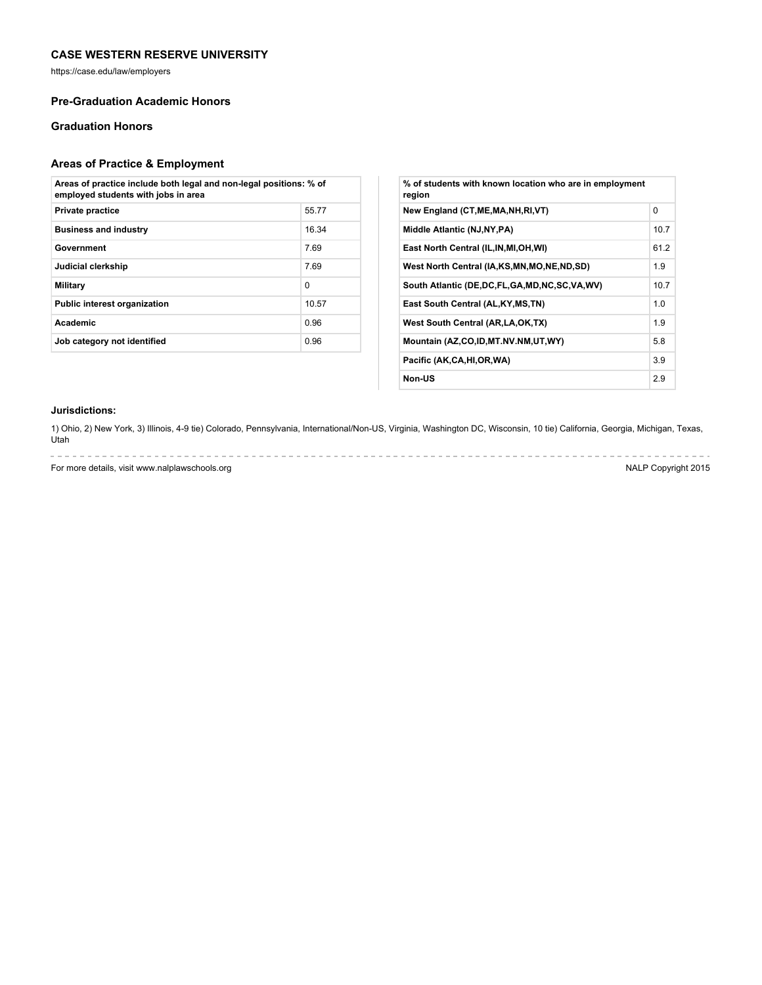https://case.edu/law/employers

# **Pre-Graduation Academic Honors**

# **Graduation Honors**

# **Areas of Practice & Employment**

| Areas of practice include both legal and non-legal positions: % of<br>employed students with jobs in area |          |  |
|-----------------------------------------------------------------------------------------------------------|----------|--|
| <b>Private practice</b>                                                                                   | 55.77    |  |
| <b>Business and industry</b>                                                                              | 16.34    |  |
| Government                                                                                                | 7.69     |  |
| Judicial clerkship                                                                                        | 7.69     |  |
| Military                                                                                                  | $\Omega$ |  |
| <b>Public interest organization</b>                                                                       | 10.57    |  |
| Academic                                                                                                  | 0.96     |  |
| Job category not identified                                                                               | 0.96     |  |

| % of students with known location who are in employment<br>region |          |
|-------------------------------------------------------------------|----------|
| New England (CT, ME, MA, NH, RI, VT)                              | $\Omega$ |
| Middle Atlantic (NJ, NY, PA)                                      | 10.7     |
| East North Central (IL, IN, MI, OH, WI)                           | 61.2     |
| West North Central (IA,KS,MN,MO,NE,ND,SD)                         | 1.9      |
| South Atlantic (DE, DC, FL, GA, MD, NC, SC, VA, WV)               | 10.7     |
| East South Central (AL, KY, MS, TN)                               | 1.0      |
| West South Central (AR, LA, OK, TX)                               | 1.9      |
| Mountain (AZ,CO,ID,MT.NV.NM,UT,WY)                                | 5.8      |
| Pacific (AK,CA,HI,OR,WA)                                          | 3.9      |
| Non-US                                                            | 2.9      |

## **Jurisdictions:**

a and

1) Ohio, 2) New York, 3) Illinois, 4-9 tie) Colorado, Pennsylvania, International/Non-US, Virginia, Washington DC, Wisconsin, 10 tie) California, Georgia, Michigan, Texas, Utah

For more details, visit www.nalplawschools.org NALP Copyright 2015

 $\label{eq:2.1} \begin{array}{lllllllllllllllllll} \mathbf{1}_{\mathbf{1}} & \mathbf{1}_{\mathbf{1}} & \mathbf{1}_{\mathbf{1}} & \mathbf{1}_{\mathbf{1}} & \mathbf{1}_{\mathbf{1}} & \mathbf{1}_{\mathbf{1}} & \mathbf{1}_{\mathbf{1}} & \mathbf{1}_{\mathbf{1}} & \mathbf{1}_{\mathbf{1}} & \mathbf{1}_{\mathbf{1}} \\ \mathbf{1}_{\mathbf{1}} & \mathbf{1}_{\mathbf{1}} & \mathbf{1}_{\mathbf{1}} & \mathbf{1}_{\mathbf{1}} & \mathbf{1}_{\mathbf{1}} &$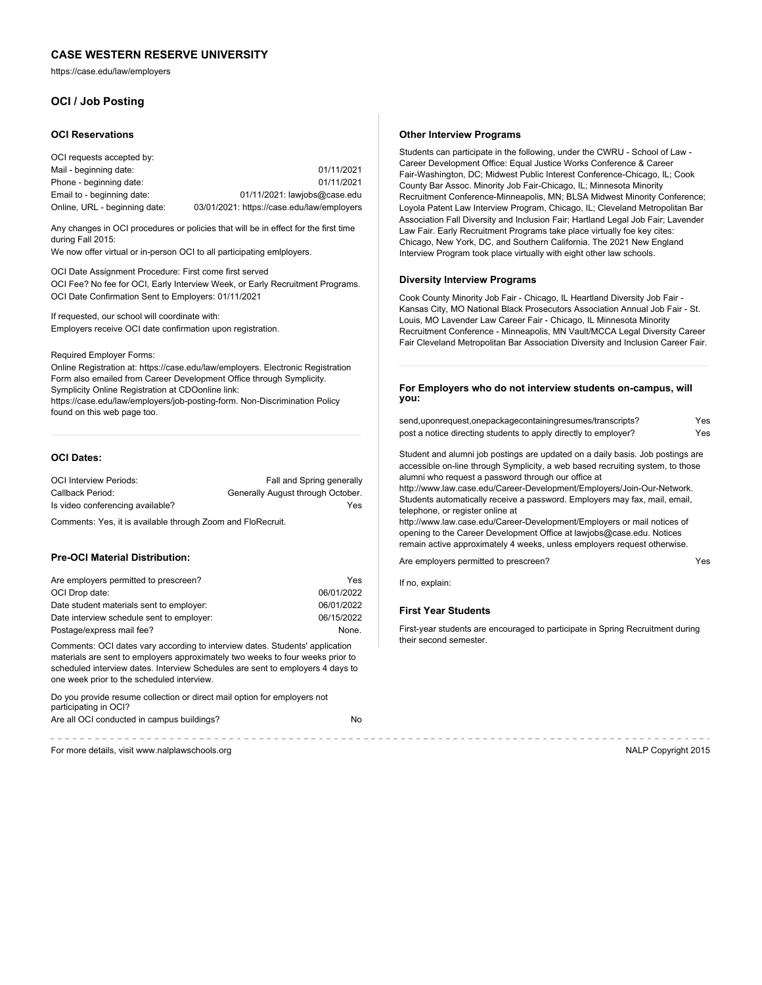https://case.edu/law/employers

# **OCI / Job Posting**

#### **OCI Reservations**

| OCI requests accepted by:     |                                            |
|-------------------------------|--------------------------------------------|
| Mail - beginning date:        | 01/11/2021                                 |
| Phone - beginning date:       | 01/11/2021                                 |
| Email to - beginning date:    | $01/11/2021$ : lawjobs@case.edu            |
| Online, URL - beginning date: | 03/01/2021: https://case.edu/law/employers |

Any changes in OCI procedures or policies that will be in effect for the first time during Fall 2015:

We now offer virtual or in-person OCI to all participating emlployers.

OCI Date Assignment Procedure: First come first served OCI Fee? No fee for OCI, Early Interview Week, or Early Recruitment Programs. OCI Date Confirmation Sent to Employers: 01/11/2021

If requested, our school will coordinate with: Employers receive OCI date confirmation upon registration.

### Required Employer Forms:

Online Registration at: https://case.edu/law/employers. Electronic Registration Form also emailed from Career Development Office through Symplicity. Symplicity Online Registration at CDOonline link: https://case.edu/law/employers/job-posting-form. Non-Discrimination Policy found on this web page too.

## **OCI Dates:**

| <b>OCI Interview Periods:</b>    | Fall and Spring generally         |
|----------------------------------|-----------------------------------|
| Callback Period:                 | Generally August through October. |
| Is video conferencing available? | Yes                               |

Comments: Yes, it is available through Zoom and FloRecruit.

#### **Pre-OCI Material Distribution:**

| Are employers permitted to prescreen?     | Yes        |
|-------------------------------------------|------------|
| OCI Drop date:                            | 06/01/2022 |
| Date student materials sent to employer:  | 06/01/2022 |
| Date interview schedule sent to employer: | 06/15/2022 |
| Postage/express mail fee?                 | None.      |

Comments: OCI dates vary according to interview dates. Students' application materials are sent to employers approximately two weeks to four weeks prior to scheduled interview dates. Interview Schedules are sent to employers 4 days to one week prior to the scheduled interview.

Do you provide resume collection or direct mail option for employers not participating in OCI? Are all OCI conducted in campus buildings? No

. . . . . . . . . . . . . . . . . . .

#### **Other Interview Programs**

Students can participate in the following, under the CWRU - School of Law - Career Development Office: Equal Justice Works Conference & Career Fair-Washington, DC; Midwest Public Interest Conference-Chicago, IL; Cook County Bar Assoc. Minority Job Fair-Chicago, IL; Minnesota Minority Recruitment Conference-Minneapolis, MN; BLSA Midwest Minority Conference; Loyola Patent Law Interview Program, Chicago, IL; Cleveland Metropolitan Bar Association Fall Diversity and Inclusion Fair; Hartland Legal Job Fair; Lavender Law Fair. Early Recruitment Programs take place virtually foe key cites: Chicago, New York, DC, and Southern California. The 2021 New England Interview Program took place virtually with eight other law schools.

#### **Diversity Interview Programs**

Cook County Minority Job Fair - Chicago, IL Heartland Diversity Job Fair - Kansas City, MO National Black Prosecutors Association Annual Job Fair - St. Louis, MO Lavender Law Career Fair - Chicago, IL Minnesota Minority Recruitment Conference - Minneapolis, MN Vault/MCCA Legal Diversity Career Fair Cleveland Metropolitan Bar Association Diversity and Inclusion Career Fair.

## **For Employers who do not interview students on-campus, will you:**

| send,uponrequest,onepackagecontainingresumes/transcripts?       | Yes |
|-----------------------------------------------------------------|-----|
| post a notice directing students to apply directly to employer? | Yes |

Student and alumni job postings are updated on a daily basis. Job postings are accessible on-line through Symplicity, a web based recruiting system, to those alumni who request a password through our office at

http://www.law.case.edu/Career-Development/Employers/Join-Our-Network. Students automatically receive a password. Employers may fax, mail, email, telephone, or register online at

http://www.law.case.edu/Career-Development/Employers or mail notices of opening to the Career Development Office at lawjobs@case.edu. Notices remain active approximately 4 weeks, unless employers request otherwise.

Are employers permitted to prescreen? The control of the employers of the Ves

If no, explain:

#### **First Year Students**

First-year students are encouraged to participate in Spring Recruitment during their second semester.

For more details, visit www.nalplawschools.org NALP Copyright 2015